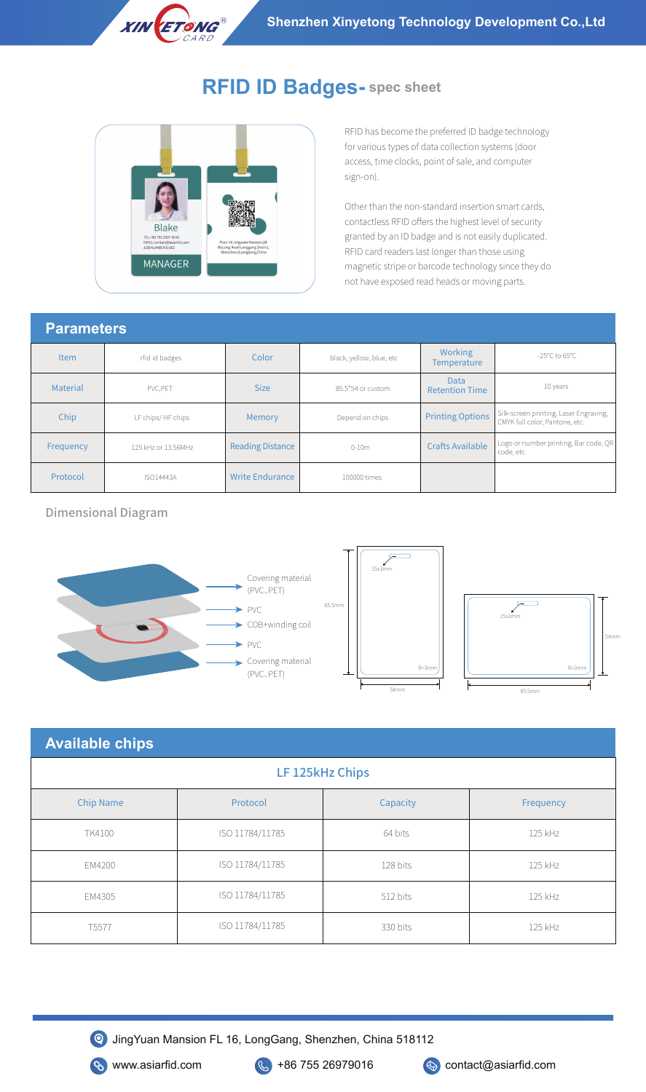

## **RFID ID Badges- spec sheet**



RFID has become the preferred ID badge technology for various types of data collection systems (door access, time clocks, point of sale, and computer sign-on).

Other than the non-standard insertion smart cards, contactless RFID offers the highest level of security granted by an ID badge and is not easily duplicated. RFID card readers last longer than those using magnetic stripe or barcode technology since they do not have exposed read heads or moving parts.

## **Parameters**

| <u>Laraniviolo</u> |                     |                         |                          |                                      |                                                                          |  |  |
|--------------------|---------------------|-------------------------|--------------------------|--------------------------------------|--------------------------------------------------------------------------|--|--|
| <b>Item</b>        | rfid id badges      | Color                   | black, yellow, blue, etc | <b>Working</b><br><b>Temperature</b> | -25°C to 65°C                                                            |  |  |
| Material           | PVC, PET            | <b>Size</b>             | 85.5*54 or custom        | Data<br><b>Retention Time</b>        | 10 years                                                                 |  |  |
| Chip               | LF chips/HF chips   | <b>Memory</b>           | Depend on chips          | <b>Printing Options</b>              | Silk-screen printing, Laser Engraving,<br>CMYK full color, Pantone, etc. |  |  |
| Frequency          | 125 kHz or 13.56MHz | <b>Reading Distance</b> | $0 - 10m$                | Crafts Available                     | Logo or number printing, Bar code, QR<br>code, etc.                      |  |  |
| Protocol           | <b>ISO14443A</b>    | <b>Write Endurance</b>  | 100000 times             |                                      |                                                                          |  |  |

Dimensional Diagram







## **Available chips**

| LF 125kHz Chips  |                 |          |           |  |  |  |  |
|------------------|-----------------|----------|-----------|--|--|--|--|
| <b>Chip Name</b> | Protocol        | Capacity | Frequency |  |  |  |  |
| TK4100           | ISO 11784/11785 | 64 bits  | 125 kHz   |  |  |  |  |
| EM4200           | ISO 11784/11785 | 128 bits | 125 kHz   |  |  |  |  |
| EM4305           | ISO 11784/11785 | 512 bits | 125 kHz   |  |  |  |  |
| T5577            | ISO 11784/11785 | 330 bits | 125 kHz   |  |  |  |  |



JingYuan Mansion FL 16, LongGang, Shenzhen, China 518112